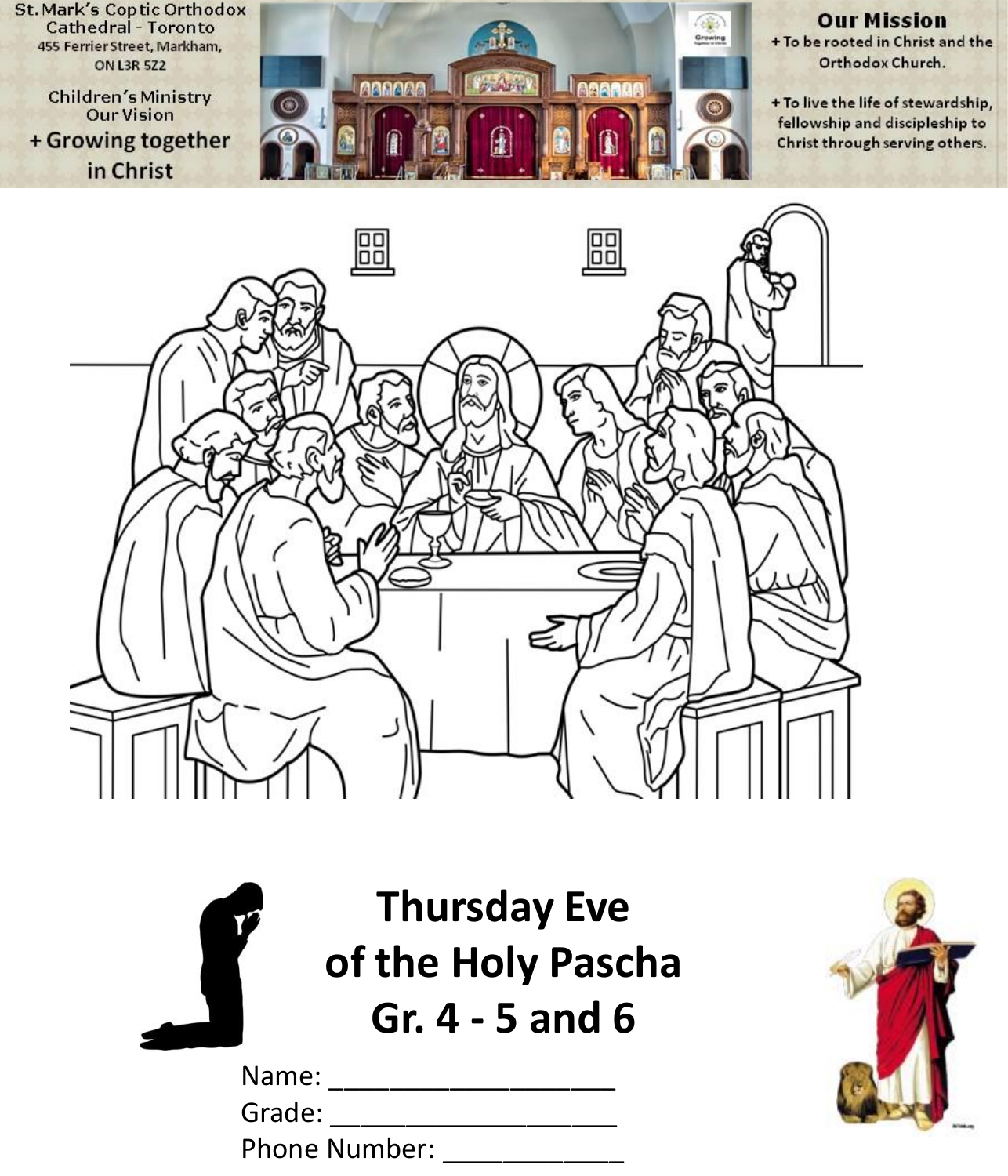**St. Mark's Coptic Orthodox Cathedral - Toronto** 455 Ferrier Street, Markham, **ON L3R 5Z2** 

**Children's Ministry Our Vision** + Growing together in Christ



#### **Our Mission** + To be rooted in Christ and the Orthodox Church.

+ To live the life of stewardship, fellowship and discipleship to Christ through serving others.





**Thursday Eve of the Holy Pascha Gr. 4 - 5 and 6**

| Name:                |  |  |
|----------------------|--|--|
| Grade:               |  |  |
| <b>Phone Number:</b> |  |  |

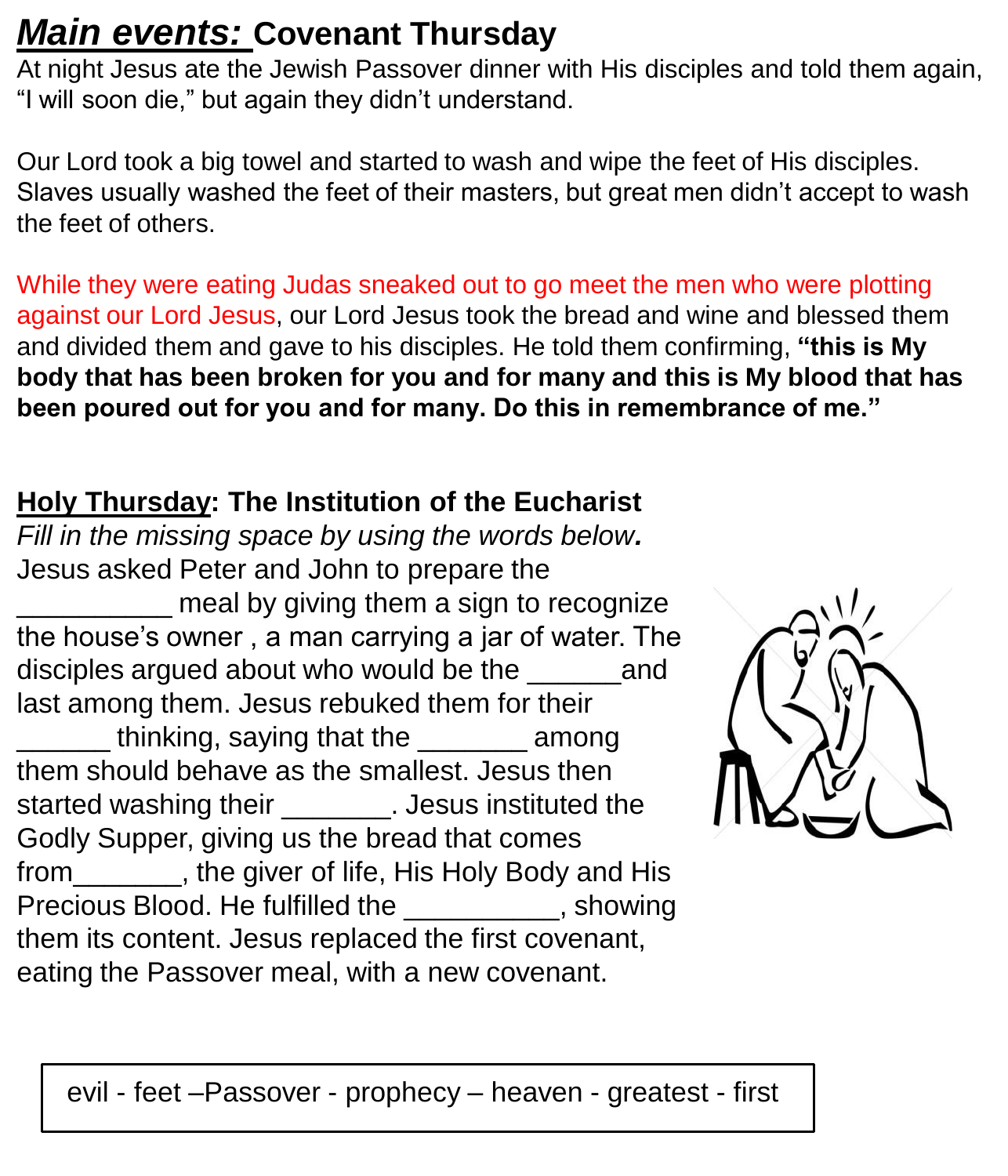## *Main events:* **Covenant Thursday**

At night Jesus ate the Jewish Passover dinner with His disciples and told them again, "I will soon die," but again they didn't understand.

Our Lord took a big towel and started to wash and wipe the feet of His disciples. Slaves usually washed the feet of their masters, but great men didn't accept to wash the feet of others.

While they were eating Judas sneaked out to go meet the men who were plotting against our Lord Jesus, our Lord Jesus took the bread and wine and blessed them and divided them and gave to his disciples. He told them confirming, **"this is My body that has been broken for you and for many and this is My blood that has been poured out for you and for many. Do this in remembrance of me."**

### **Holy Thursday: The Institution of the Eucharist**

*Fill in the missing space by using the words below.* Jesus asked Peter and John to prepare the meal by giving them a sign to recognize the house's owner , a man carrying a jar of water. The disciples argued about who would be the and last among them. Jesus rebuked them for their thinking, saying that the among them should behave as the smallest. Jesus then started washing their \_\_\_\_\_\_\_. Jesus instituted the Godly Supper, giving us the bread that comes from\_\_\_\_\_\_\_, the giver of life, His Holy Body and His Precious Blood. He fulfilled the state of the showing them its content. Jesus replaced the first covenant, eating the Passover meal, with a new covenant.



evil - feet –Passover - prophecy – heaven - greatest - first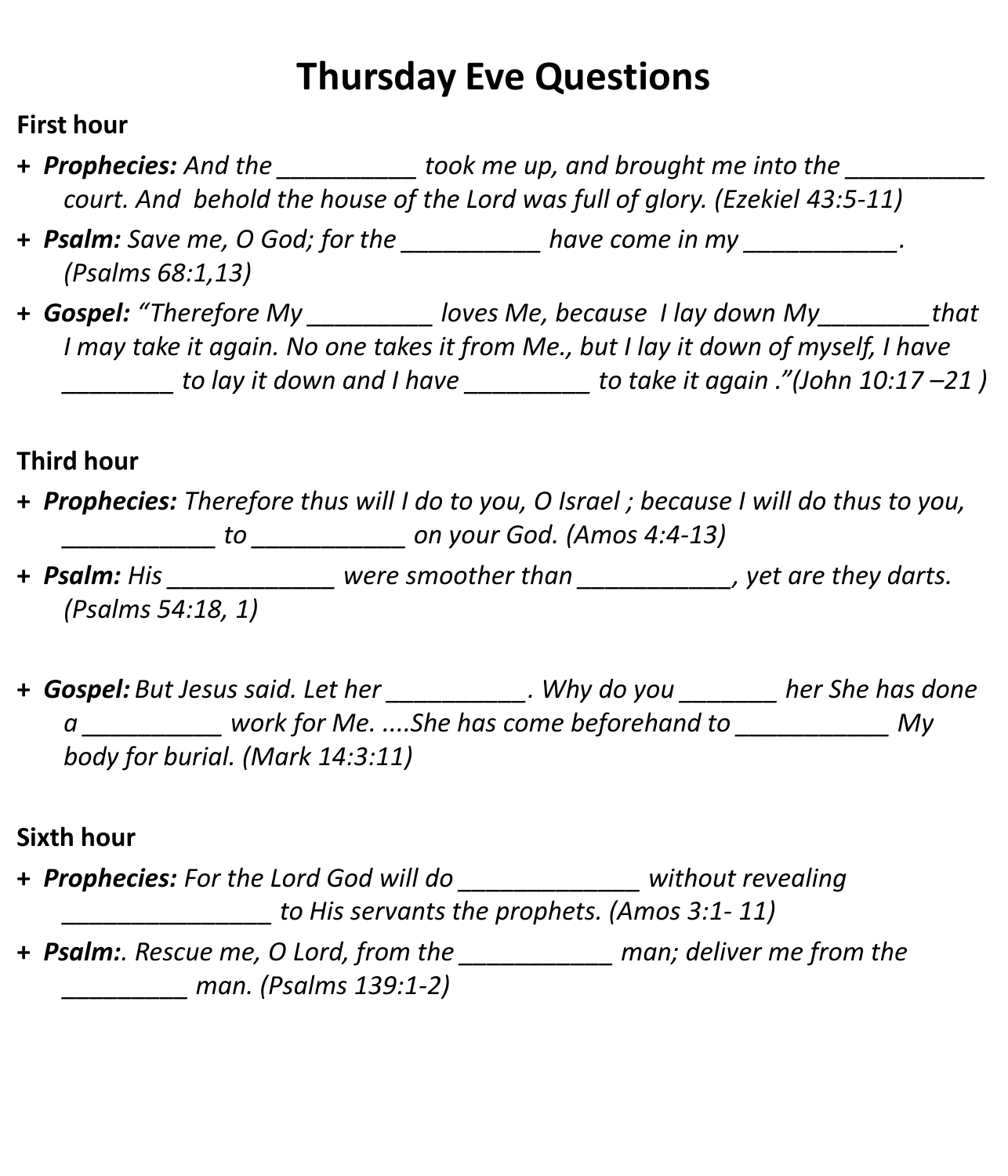## **Thursday Eve Questions**

#### **First hour**

- **+** *Prophecies: And the \_\_\_\_\_\_\_\_\_\_ took me up, and brought me into the \_\_\_\_\_\_\_\_\_\_ court. And behold the house of the Lord was full of glory. (Ezekiel 43:5-11)*
- **+** *Psalm: Save me, O God; for the \_\_\_\_\_\_\_\_\_\_ have come in my \_\_\_\_\_\_\_\_\_\_\_. (Psalms 68:1,13)*
- **+** *Gospel: "Therefore My \_\_\_\_\_\_\_\_\_ loves Me, because I lay down My\_\_\_\_\_\_\_\_that I may take it again. No one takes it from Me., but I lay it down of myself, I have \_\_\_\_\_\_\_\_ to lay it down and I have \_\_\_\_\_\_\_\_\_ to take it again ."(John 10:17 –21 )*

### **Third hour**

- **+** *Prophecies: Therefore thus will I do to you, O Israel ; because I will do thus to you, \_\_\_\_\_\_\_\_\_\_\_ to \_\_\_\_\_\_\_\_\_\_\_ on your God. (Amos 4:4-13)*
- **+** *Psalm: His \_\_\_\_\_\_\_\_\_\_\_\_ were smoother than \_\_\_\_\_\_\_\_\_\_\_, yet are they darts. (Psalms 54:18, 1)*
- **+** *Gospel: But Jesus said. Let her \_\_\_\_\_\_\_\_\_\_. Why do you \_\_\_\_\_\_\_ her She has done a \_\_\_\_\_\_\_\_\_\_ work for Me. ....She has come beforehand to \_\_\_\_\_\_\_\_\_\_\_ My body for burial. (Mark 14:3:11)*

#### **Sixth hour**

- **+** *Prophecies: For the Lord God will do \_\_\_\_\_\_\_\_\_\_\_\_\_ without revealing \_\_\_\_\_\_\_\_\_\_\_\_\_\_\_ to His servants the prophets. (Amos 3:1- 11)* **+** *Psalm:. Rescue me, O Lord, from the \_\_\_\_\_\_\_\_\_\_\_ man; deliver me from the*
- *\_\_\_\_\_\_\_\_\_ man. (Psalms 139:1-2)*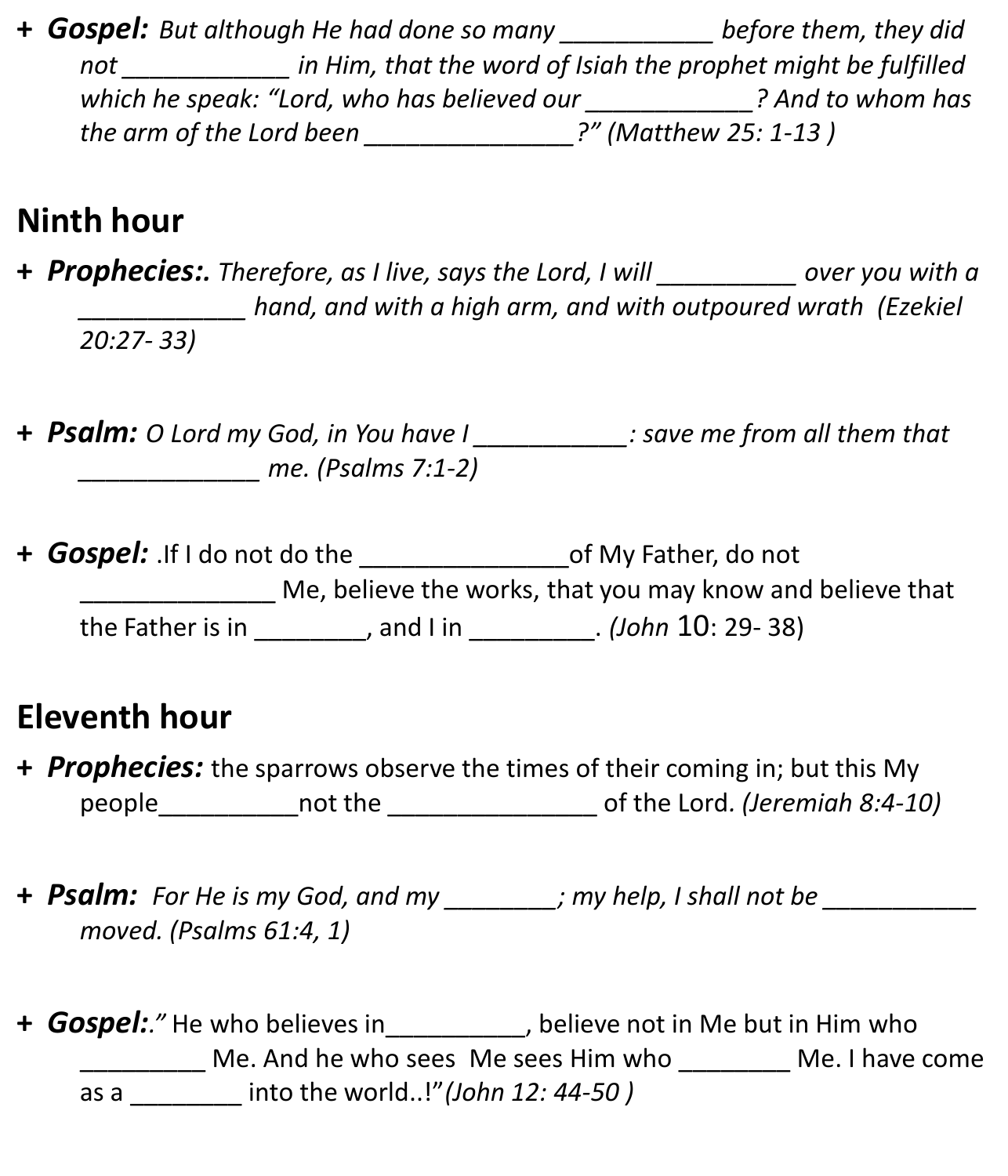**+** *Gospel:**But although He had done so many \_\_\_\_\_\_\_\_\_\_\_ before them, they did not \_\_\_\_\_\_\_\_\_\_\_\_ in Him, that the word of Isiah the prophet might be fulfilled which he speak: "Lord, who has believed our \_\_\_\_\_\_\_\_\_\_\_\_? And to whom has the arm of the Lord been \_\_\_\_\_\_\_\_\_\_\_\_\_\_\_?" (Matthew 25: 1-13 )*

## **Ninth hour**

**+** *Prophecies:. Therefore, as I live, says the Lord, I will \_\_\_\_\_\_\_\_\_\_ over you with a \_\_\_\_\_\_\_\_\_\_\_\_ hand, and with a high arm, and with outpoured wrath (Ezekiel 20:27- 33)*

- **+** *Psalm: O Lord my God, in You have I \_\_\_\_\_\_\_\_\_\_\_: save me from all them that \_\_\_\_\_\_\_\_\_\_\_\_\_ me. (Psalms 7:1-2)*
- **+** *Gospel:* .If I do not do the \_\_\_\_\_\_\_\_\_\_\_\_\_\_\_of My Father, do not Me, believe the works, that you may know and believe that the Father is in \_\_\_\_\_\_\_\_, and I in \_\_\_\_\_\_\_\_\_. *(John* 10: 29- 38)

## **Eleventh hour**

- **+** *Prophecies:* the sparrows observe the times of their coming in; but this My people\_\_\_\_\_\_\_\_\_\_not the \_\_\_\_\_\_\_\_\_\_\_\_\_\_\_ of the Lord*. (Jeremiah 8:4-10)*
- **+** *Psalm: For He is my God, and my \_\_\_\_\_\_\_\_; my help, I shall not be \_\_\_\_\_\_\_\_\_\_\_ moved. (Psalms 61:4, 1)*
- **+** *Gospel:."* He who believes in\_\_\_\_\_\_\_\_\_\_, believe not in Me but in Him who Me. And he who sees Me sees Him who \_\_\_\_\_\_\_ Me. I have come as a \_\_\_\_\_\_\_\_ into the world..!"*(John 12: 44-50 )*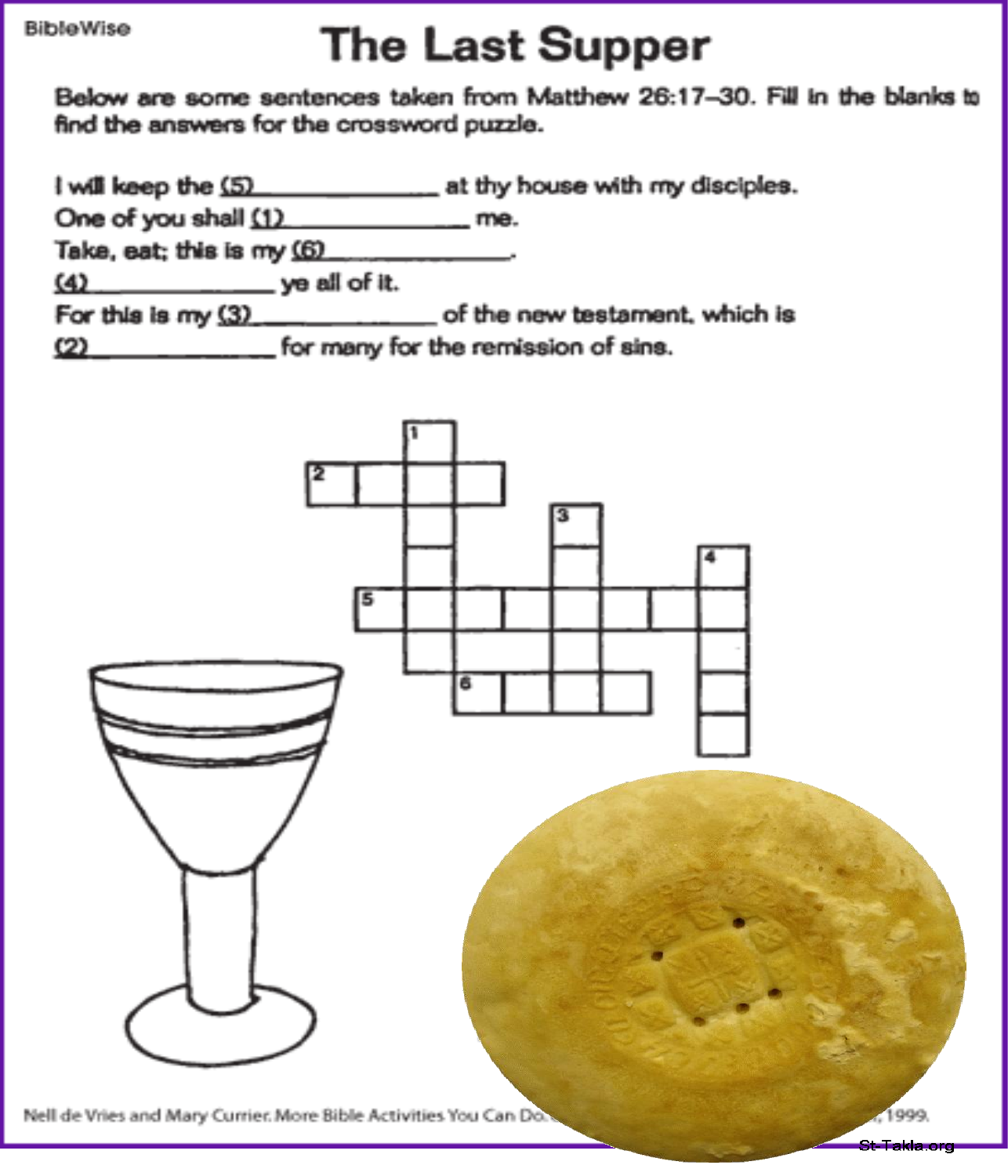#### **BibleWise**

# **The Last Supper**

Below are some sentences taken from Matthew 26:17-30. Fill in the blanks to find the answers for the crossword puzzle.

I will keep the (5) at thy house with my disciples.

One of you shall (1) me.

Take, eat; this is my (6)

 $(4)$  ye all of it.

For this is my (3) \_\_\_\_\_\_\_\_\_\_\_\_\_ of the new testament, which is

(2) for many for the remission of sins.



Nell de Vries and Mary Currier. More Bible Activities You Can Do.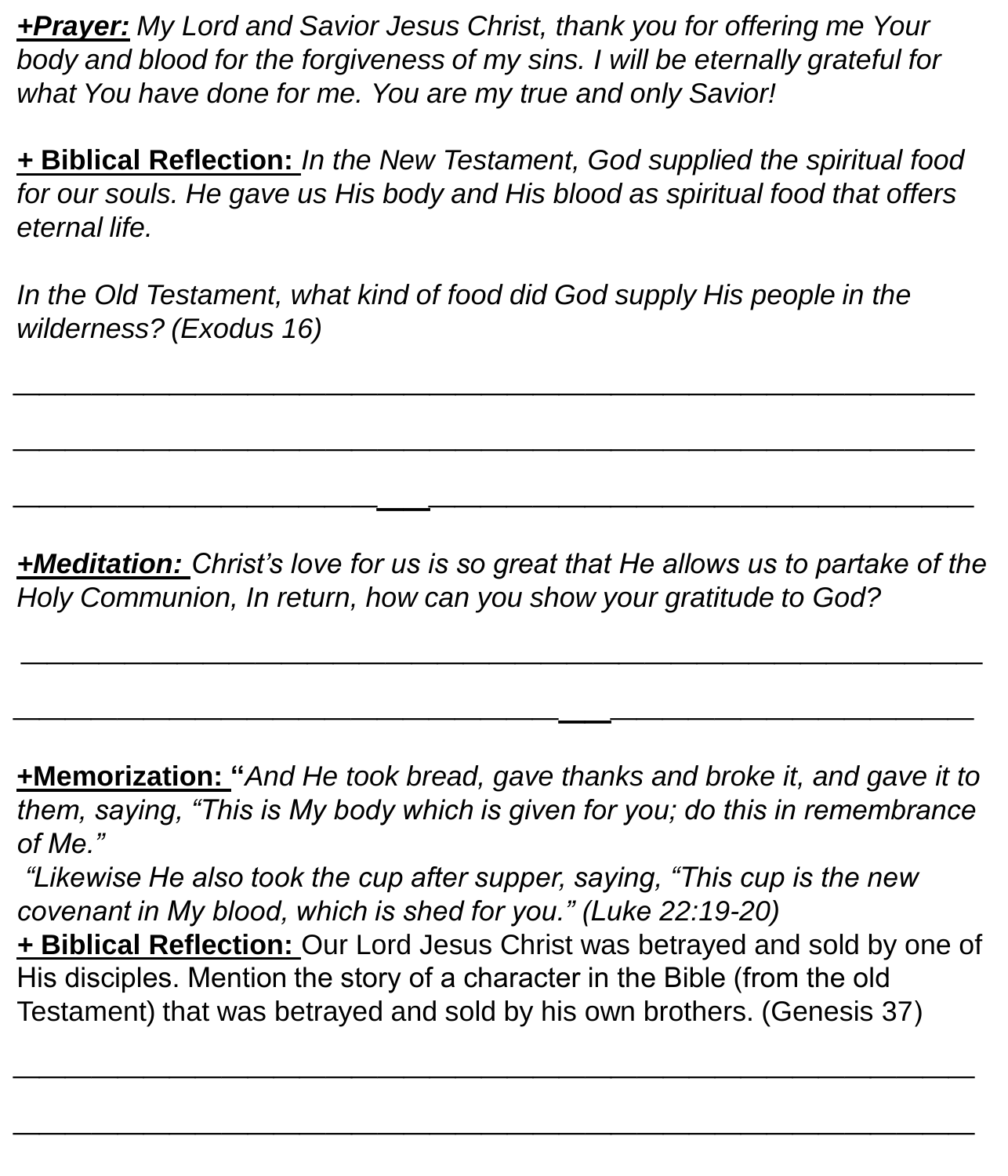*+Prayer: My Lord and Savior Jesus Christ, thank you for offering me Your body and blood for the forgiveness of my sins. I will be eternally grateful for what You have done for me. You are my true and only Savior!*

*+* **Biblical Reflection:** *In the New Testament, God supplied the spiritual food for our souls. He gave us His body and His blood as spiritual food that offers eternal life.*

*\_\_\_\_\_\_\_\_\_\_\_\_\_\_\_\_\_\_\_\_\_\_\_\_\_\_\_\_\_\_\_\_\_\_\_\_\_*

*\_\_\_\_\_\_\_\_\_\_\_\_\_\_\_\_\_\_\_\_\_\_\_\_\_\_\_\_\_\_\_\_\_\_\_\_\_*

*\_\_\_\_\_\_\_\_\_\_\_\_\_\_\_\_\_\_\_\_\_\_\_\_\_\_\_\_\_\_\_\_\_\_\_\_\_*

*In the Old Testament, what kind of food did God supply His people in the wilderness? (Exodus 16)*

*+Meditation: Christ's love for us is so great that He allows us to partake of the Holy Communion, In return, how can you show your gratitude to God?*

*\_\_\_\_\_\_\_\_\_\_\_\_\_\_\_\_\_\_\_\_\_\_\_\_\_\_\_\_\_\_\_\_\_\_\_\_\_*

*\_\_\_\_\_\_\_\_\_\_\_\_\_\_\_\_\_\_\_\_\_\_\_\_\_\_\_\_\_\_\_\_\_\_\_\_\_*

**+Memorization: "***And He took bread, gave thanks and broke it, and gave it to them, saying, "This is My body which is given for you; do this in remembrance of Me."*

*"Likewise He also took the cup after supper, saying, "This cup is the new covenant in My blood, which is shed for you." (Luke 22:19-20) +* **Biblical Reflection:** Our Lord Jesus Christ was betrayed and sold by one of His disciples. Mention the story of a character in the Bible (from the old Testament) that was betrayed and sold by his own brothers. (Genesis 37)

*\_\_\_\_\_\_\_\_\_\_\_\_\_\_\_\_\_\_\_\_\_\_\_\_\_\_\_\_\_\_\_\_\_\_\_\_\_*

*\_\_\_\_\_\_\_\_\_\_\_\_\_\_\_\_\_\_\_\_\_\_\_\_\_\_\_\_\_\_\_\_\_\_\_\_\_*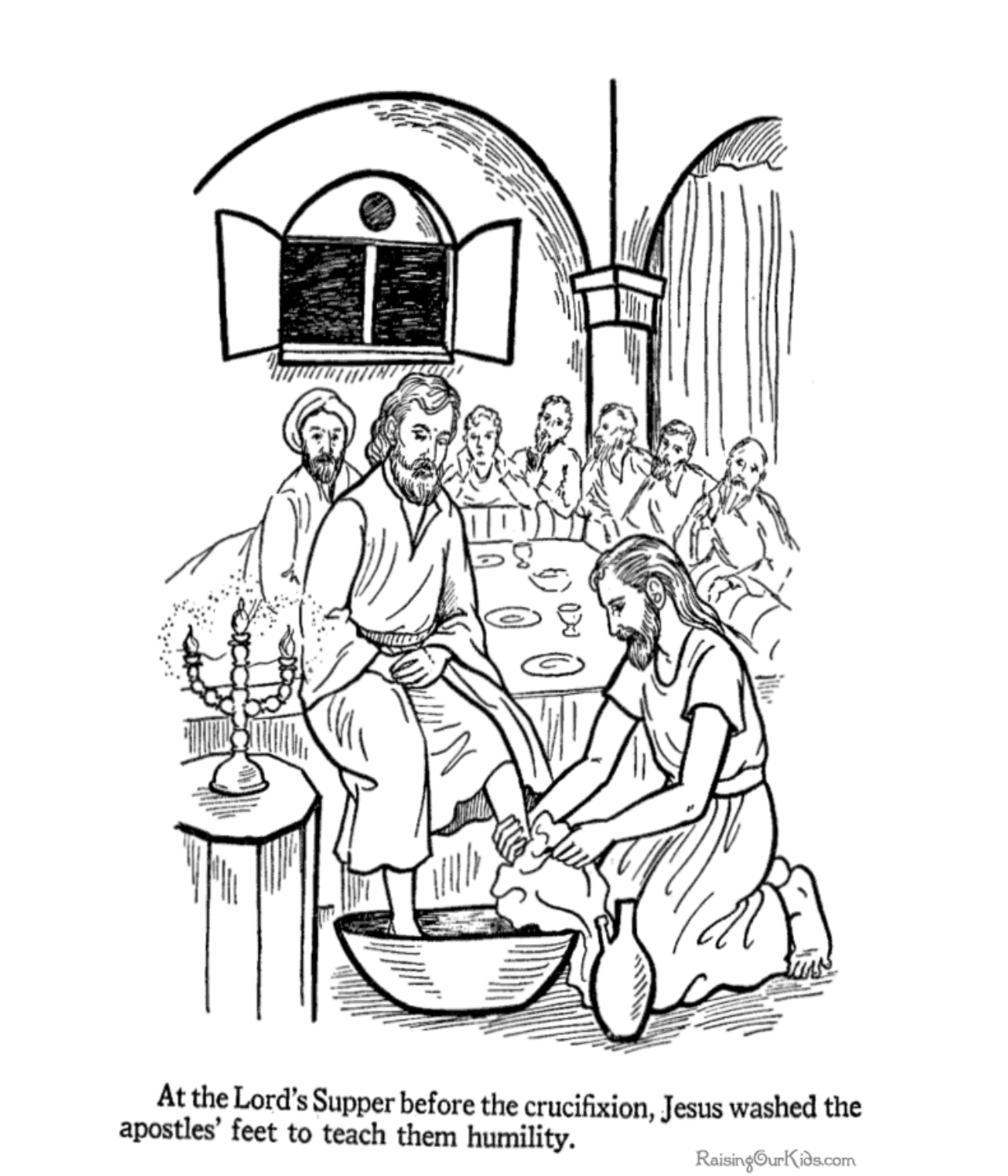

At the Lord's Supper before the crucifixion, Jesus washed the apostles' feet to teach them humility.

Raising©urKids.com